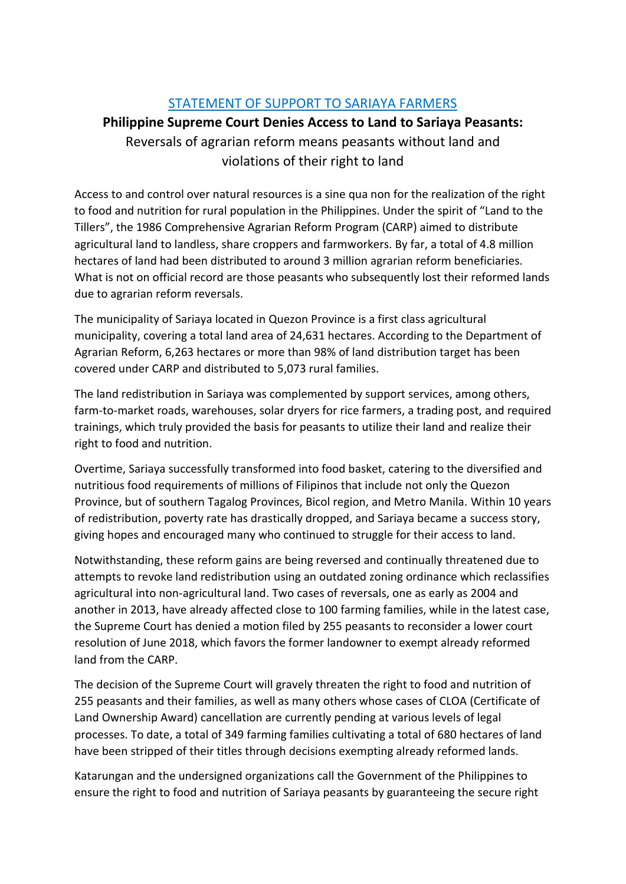## STATEMENT OF SUPPORT TO SARIAYA FARMERS

## **Philippine Supreme Court Denies Access to Land to Sariaya Peasants:** Reversals of agrarian reform means peasants without land and violations of their right to land

Access to and control over natural resources is a sine qua non for the realization of the right to food and nutrition for rural population in the Philippines. Under the spirit of "Land to the Tillers", the 1986 Comprehensive Agrarian Reform Program (CARP) aimed to distribute agricultural land to landless, share croppers and farmworkers. By far, a total of 4.8 million hectares of land had been distributed to around 3 million agrarian reform beneficiaries. What is not on official record are those peasants who subsequently lost their reformed lands due to agrarian reform reversals.

The municipality of Sariaya located in Quezon Province is a first class agricultural municipality, covering a total land area of 24,631 hectares. According to the Department of Agrarian Reform, 6,263 hectares or more than 98% of land distribution target has been covered under CARP and distributed to 5,073 rural families.

The land redistribution in Sariaya was complemented by support services, among others, farm-to-market roads, warehouses, solar dryers for rice farmers, a trading post, and required trainings, which truly provided the basis for peasants to utilize their land and realize their right to food and nutrition.

Overtime, Sariaya successfully transformed into food basket, catering to the diversified and nutritious food requirements of millions of Filipinos that include not only the Quezon Province, but of southern Tagalog Provinces, Bicol region, and Metro Manila. Within 10 years of redistribution, poverty rate has drastically dropped, and Sariaya became a success story, giving hopes and encouraged many who continued to struggle for their access to land.

Notwithstanding, these reform gains are being reversed and continually threatened due to attempts to revoke land redistribution using an outdated zoning ordinance which reclassifies agricultural into non-agricultural land. Two cases of reversals, one as early as 2004 and another in 2013, have already affected close to 100 farming families, while in the latest case, the Supreme Court has denied a motion filed by 255 peasants to reconsider a lower court resolution of June 2018, which favors the former landowner to exempt already reformed land from the CARP.

The decision of the Supreme Court will gravely threaten the right to food and nutrition of 255 peasants and their families, as well as many others whose cases of CLOA (Certificate of Land Ownership Award) cancellation are currently pending at various levels of legal processes. To date, a total of 349 farming families cultivating a total of 680 hectares of land have been stripped of their titles through decisions exempting already reformed lands.

Katarungan and the undersigned organizations call the Government of the Philippines to ensure the right to food and nutrition of Sariaya peasants by guaranteeing the secure right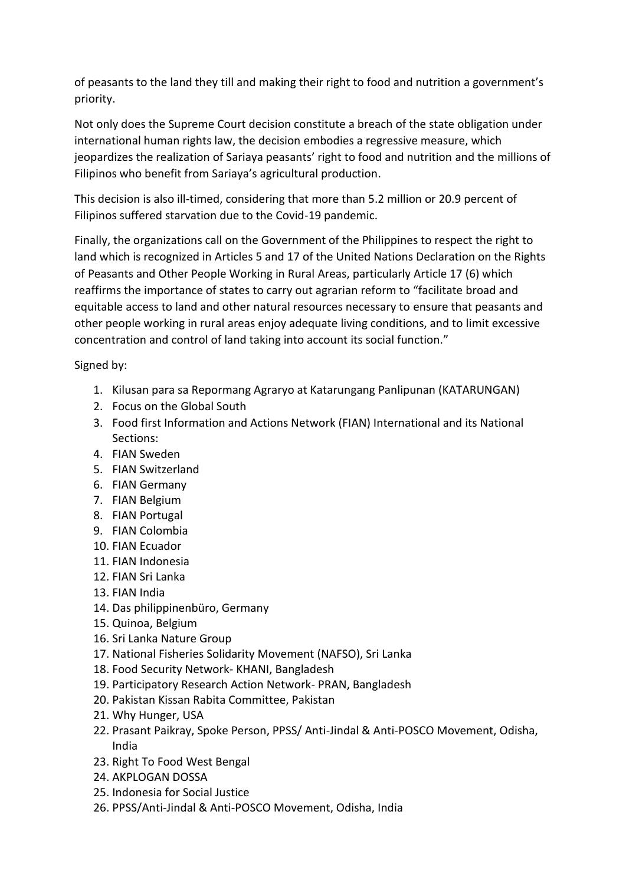of peasants to the land they till and making their right to food and nutrition a government's priority.

Not only does the Supreme Court decision constitute a breach of the state obligation under international human rights law, the decision embodies a regressive measure, which jeopardizes the realization of Sariaya peasants' right to food and nutrition and the millions of Filipinos who benefit from Sariaya's agricultural production.

This decision is also ill-timed, considering that more than 5.2 million or 20.9 percent of Filipinos suffered starvation due to the Covid-19 pandemic.

Finally, the organizations call on the Government of the Philippines to respect the right to land which is recognized in Articles 5 and 17 of the United Nations Declaration on the Rights of Peasants and Other People Working in Rural Areas, particularly Article 17 (6) which reaffirms the importance of states to carry out agrarian reform to "facilitate broad and equitable access to land and other natural resources necessary to ensure that peasants and other people working in rural areas enjoy adequate living conditions, and to limit excessive concentration and control of land taking into account its social function."

Signed by:

- 1. Kilusan para sa Repormang Agraryo at Katarungang Panlipunan (KATARUNGAN)
- 2. Focus on the Global South
- 3. Food first Information and Actions Network (FIAN) International and its National Sections:
- 4. FIAN Sweden
- 5. FIAN Switzerland
- 6. FIAN Germany
- 7. FIAN Belgium
- 8. FIAN Portugal
- 9. FIAN Colombia
- 10. FIAN Ecuador
- 11. FIAN Indonesia
- 12. FIAN Sri Lanka
- 13. FIAN India
- 14. Das philippinenbüro, Germany
- 15. Quinoa, Belgium
- 16. Sri Lanka Nature Group
- 17. National Fisheries Solidarity Movement (NAFSO), Sri Lanka
- 18. Food Security Network- KHANI, Bangladesh
- 19. Participatory Research Action Network- PRAN, Bangladesh
- 20. Pakistan Kissan Rabita Committee, Pakistan
- 21. Why Hunger, USA
- 22. Prasant Paikray, Spoke Person, PPSS/ Anti-Jindal & Anti-POSCO Movement, Odisha, India
- 23. Right To Food West Bengal
- 24. AKPLOGAN DOSSA
- 25. Indonesia for Social Justice
- 26. PPSS/Anti-Jindal & Anti-POSCO Movement, Odisha, India